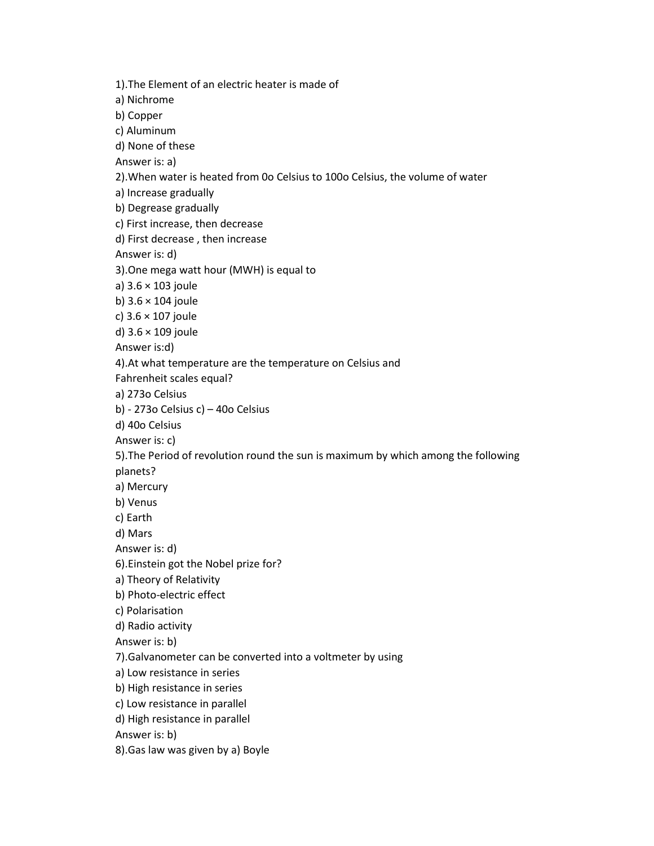1).The Element of an electric heater is made of a) Nichrome b) Copper c) Aluminum d) None of these Answer is: a) 2).When water is heated from 0o Celsius to 100o Celsius, the volume of water a) Increase gradually b) Degrease gradually c) First increase, then decrease d) First decrease , then increase Answer is: d) 3).One mega watt hour (MWH) is equal to a) 3.6 × 103 joule b) 3.6 × 104 joule c) 3.6 × 107 joule d) 3.6 × 109 joule Answer is:d) 4).At what temperature are the temperature on Celsius and Fahrenheit scales equal? a) 273o Celsius b) - 273o Celsius c) – 40o Celsius d) 40o Celsius Answer is: c) 5).The Period of revolution round the sun is maximum by which among the following planets? a) Mercury b) Venus c) Earth d) Mars Answer is: d) 6).Einstein got the Nobel prize for? a) Theory of Relativity b) Photo-electric effect c) Polarisation d) Radio activity Answer is: b) 7).Galvanometer can be converted into a voltmeter by using a) Low resistance in series b) High resistance in series c) Low resistance in parallel d) High resistance in parallel Answer is: b) 8).Gas law was given by a) Boyle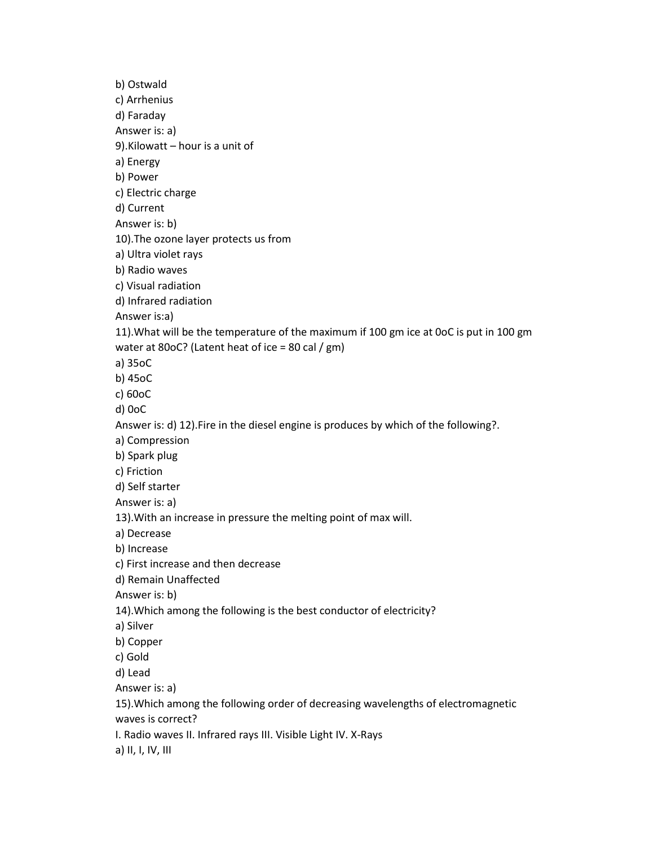b) Ostwald c) Arrhenius d) Faraday Answer is: a) 9).Kilowatt – hour is a unit of a) Energy b) Power c) Electric charge d) Current Answer is: b) 10).The ozone layer protects us from a) Ultra violet rays b) Radio waves c) Visual radiation d) Infrared radiation Answer is:a) 11).What will be the temperature of the maximum if 100 gm ice at 0oC is put in 100 gm water at 80oC? (Latent heat of ice = 80 cal / gm) a) 35oC b) 45oC c) 60oC d) 0oC Answer is: d) 12).Fire in the diesel engine is produces by which of the following?. a) Compression b) Spark plug c) Friction d) Self starter Answer is: a) 13).With an increase in pressure the melting point of max will. a) Decrease b) Increase c) First increase and then decrease d) Remain Unaffected Answer is: b) 14).Which among the following is the best conductor of electricity? a) Silver b) Copper c) Gold d) Lead Answer is: a) 15).Which among the following order of decreasing wavelengths of electromagnetic waves is correct? I. Radio waves II. Infrared rays III. Visible Light IV. X-Rays a) II, I, IV, III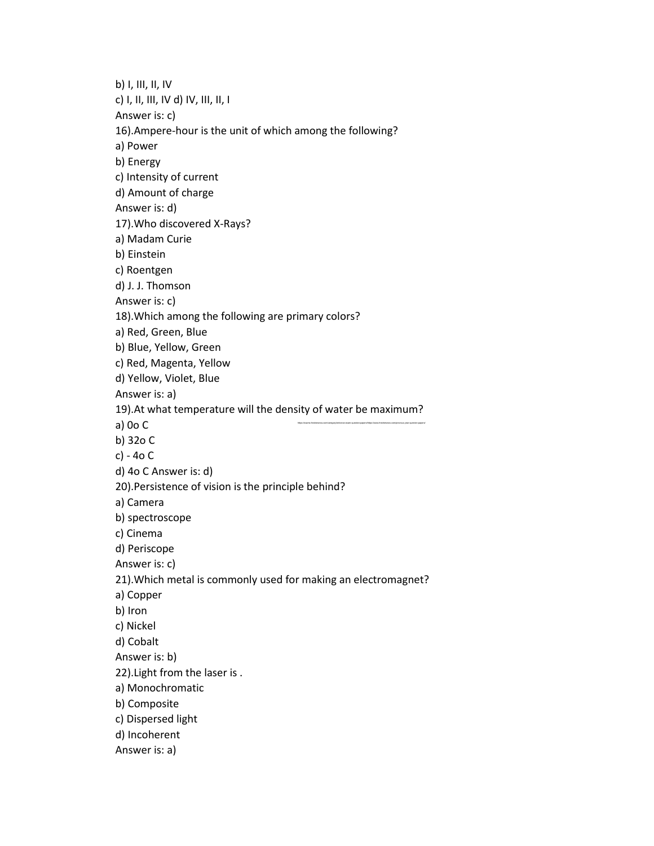https://exams.freshersnow.com/category/entrance-exam-question-papers/https://www.freshersnow.com/previous-year-question-papers/ b) I, III, II, IV c) I, II, III, IV d) IV, III, II, I Answer is: c) 16).Ampere-hour is the unit of which among the following? a) Power b) Energy c) Intensity of current d) Amount of charge Answer is: d) 17).Who discovered X-Rays? a) Madam Curie b) Einstein c) Roentgen d) J. J. Thomson Answer is: c) 18).Which among the following are primary colors? a) Red, Green, Blue b) Blue, Yellow, Green c) Red, Magenta, Yellow d) Yellow, Violet, Blue Answer is: a) 19).At what temperature will the density of water be maximum? a) 0o C b) 32o C c) - 4o C d) 4o C Answer is: d) 20).Persistence of vision is the principle behind? a) Camera b) spectroscope c) Cinema d) Periscope Answer is: c) 21).Which metal is commonly used for making an electromagnet? a) Copper b) Iron c) Nickel d) Cobalt Answer is: b) 22).Light from the laser is . a) Monochromatic b) Composite c) Dispersed light d) Incoherent Answer is: a)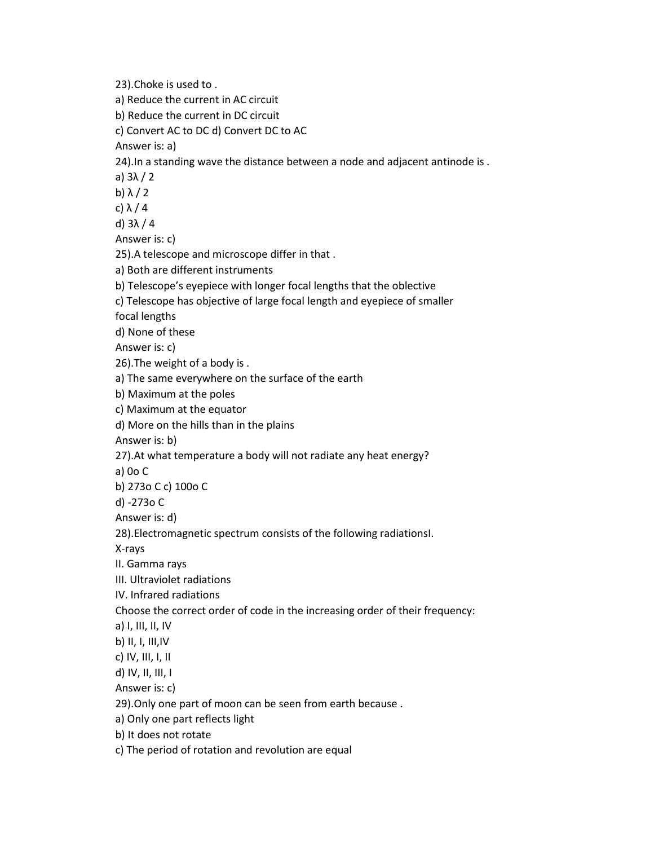23).Choke is used to . a) Reduce the current in AC circuit b) Reduce the current in DC circuit c) Convert AC to DC d) Convert DC to AC Answer is: a) 24).In a standing wave the distance between a node and adjacent antinode is . a) 3λ / 2 b)  $\lambda/2$ c) λ / 4 d) 3λ / 4 Answer is: c) 25).A telescope and microscope differ in that . a) Both are different instruments b) Telescope's eyepiece with longer focal lengths that the oblective c) Telescope has objective of large focal length and eyepiece of smaller focal lengths d) None of these Answer is: c) 26).The weight of a body is . a) The same everywhere on the surface of the earth b) Maximum at the poles c) Maximum at the equator d) More on the hills than in the plains Answer is: b) 27).At what temperature a body will not radiate any heat energy? a) 0o C b) 273o C c) 100o C d) -273o C Answer is: d) 28).Electromagnetic spectrum consists of the following radiationsI. X-rays II. Gamma rays III. Ultraviolet radiations IV. Infrared radiations Choose the correct order of code in the increasing order of their frequency: a) I, III, II, IV b) II, I, III,IV c) IV, III, I, II d) IV, II, III, I Answer is: c) 29).Only one part of moon can be seen from earth because . a) Only one part reflects light b) It does not rotate c) The period of rotation and revolution are equal